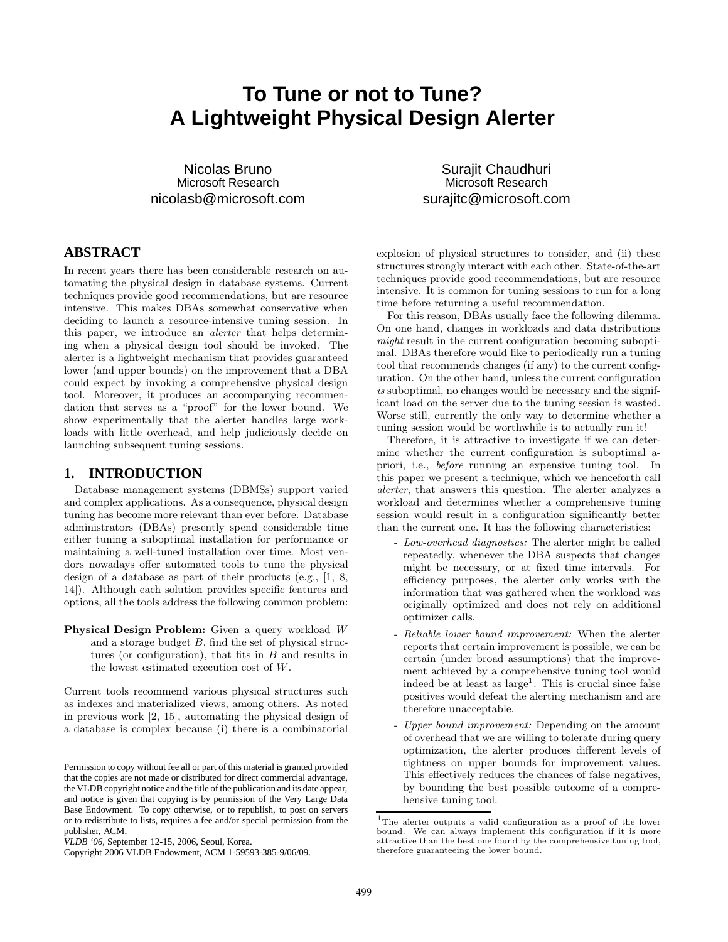# **To Tune or not to Tune? A Lightweight Physical Design Alerter**

Nicolas Bruno Microsoft Research nicolasb@microsoft.com

Surajit Chaudhuri Microsoft Research surajitc@microsoft.com

# **ABSTRACT**

In recent years there has been considerable research on automating the physical design in database systems. Current techniques provide good recommendations, but are resource intensive. This makes DBAs somewhat conservative when deciding to launch a resource-intensive tuning session. In this paper, we introduce an alerter that helps determining when a physical design tool should be invoked. The alerter is a lightweight mechanism that provides guaranteed lower (and upper bounds) on the improvement that a DBA could expect by invoking a comprehensive physical design tool. Moreover, it produces an accompanying recommendation that serves as a "proof" for the lower bound. We show experimentally that the alerter handles large workloads with little overhead, and help judiciously decide on launching subsequent tuning sessions.

#### **1. INTRODUCTION**

Database management systems (DBMSs) support varied and complex applications. As a consequence, physical design tuning has become more relevant than ever before. Database administrators (DBAs) presently spend considerable time either tuning a suboptimal installation for performance or maintaining a well-tuned installation over time. Most vendors nowadays offer automated tools to tune the physical design of a database as part of their products (e.g., [1, 8, 14]). Although each solution provides specific features and options, all the tools address the following common problem:

Physical Design Problem: Given a query workload W and a storage budget  $B$ , find the set of physical structures (or configuration), that fits in  $B$  and results in the lowest estimated execution cost of W.

Current tools recommend various physical structures such as indexes and materialized views, among others. As noted in previous work [2, 15], automating the physical design of a database is complex because (i) there is a combinatorial

explosion of physical structures to consider, and (ii) these structures strongly interact with each other. State-of-the-art techniques provide good recommendations, but are resource intensive. It is common for tuning sessions to run for a long time before returning a useful recommendation.

For this reason, DBAs usually face the following dilemma. On one hand, changes in workloads and data distributions might result in the current configuration becoming suboptimal. DBAs therefore would like to periodically run a tuning tool that recommends changes (if any) to the current configuration. On the other hand, unless the current configuration is suboptimal, no changes would be necessary and the significant load on the server due to the tuning session is wasted. Worse still, currently the only way to determine whether a tuning session would be worthwhile is to actually run it!

Therefore, it is attractive to investigate if we can determine whether the current configuration is suboptimal apriori, i.e., before running an expensive tuning tool. In this paper we present a technique, which we henceforth call alerter, that answers this question. The alerter analyzes a workload and determines whether a comprehensive tuning session would result in a configuration significantly better than the current one. It has the following characteristics:

- Low-overhead diagnostics: The alerter might be called repeatedly, whenever the DBA suspects that changes might be necessary, or at fixed time intervals. For efficiency purposes, the alerter only works with the information that was gathered when the workload was originally optimized and does not rely on additional optimizer calls.
- Reliable lower bound improvement: When the alerter reports that certain improvement is possible, we can be certain (under broad assumptions) that the improvement achieved by a comprehensive tuning tool would indeed be at least as  $\text{large}^1$ . This is crucial since false positives would defeat the alerting mechanism and are therefore unacceptable.
- Upper bound improvement: Depending on the amount of overhead that we are willing to tolerate during query optimization, the alerter produces different levels of tightness on upper bounds for improvement values. This effectively reduces the chances of false negatives, by bounding the best possible outcome of a comprehensive tuning tool.

Permission to copy without fee all or part of this material is granted provided that the copies are not made or distributed for direct commercial advantage, the VLDB copyright notice and the title of the publication and its date appear, and notice is given that copying is by permission of the Very Large Data Base Endowment. To copy otherwise, or to republish, to post on servers or to redistribute to lists, requires a fee and/or special permission from the publisher, ACM.

*VLDB '06,* September 12-15, 2006, Seoul, Korea.

Copyright 2006 VLDB Endowment, ACM 1-59593-385-9/06/09.

<sup>1</sup>The alerter outputs a valid configuration as a proof of the lower bound. We can always implement this configuration if it is more attractive than the best one found by the comprehensive tuning tool, therefore guaranteeing the lower bound.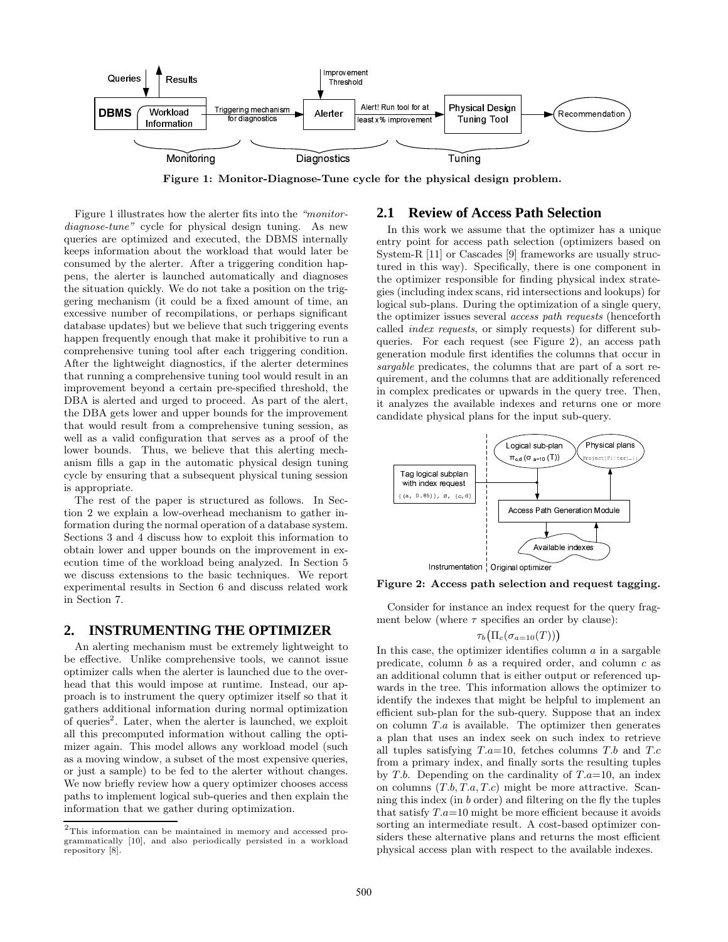

Figure 1: Monitor-Diagnose-Tune cycle for the physical design problem.

Figure 1 illustrates how the alerter fits into the "monitordiagnose-tune" cycle for physical design tuning. As new queries are optimized and executed, the DBMS internally keeps information about the workload that would later be consumed by the alerter. After a triggering condition happens, the alerter is launched automatically and diagnoses the situation quickly. We do not take a position on the triggering mechanism (it could be a fixed amount of time, an excessive number of recompilations, or perhaps significant database updates) but we believe that such triggering events happen frequently enough that make it prohibitive to run a comprehensive tuning tool after each triggering condition. After the lightweight diagnostics, if the alerter determines that running a comprehensive tuning tool would result in an improvement beyond a certain pre-specified threshold, the DBA is alerted and urged to proceed. As part of the alert, the DBA gets lower and upper bounds for the improvement that would result from a comprehensive tuning session, as well as a valid configuration that serves as a proof of the lower bounds. Thus, we believe that this alerting mechanism fills a gap in the automatic physical design tuning cycle by ensuring that a subsequent physical tuning session is appropriate.

The rest of the paper is structured as follows. In Section 2 we explain a low-overhead mechanism to gather information during the normal operation of a database system. Sections 3 and 4 discuss how to exploit this information to obtain lower and upper bounds on the improvement in execution time of the workload being analyzed. In Section 5 we discuss extensions to the basic techniques. We report experimental results in Section 6 and discuss related work in Section 7.

## **2. INSTRUMENTING THE OPTIMIZER**

An alerting mechanism must be extremely lightweight to be effective. Unlike comprehensive tools, we cannot issue optimizer calls when the alerter is launched due to the overhead that this would impose at runtime. Instead, our approach is to instrument the query optimizer itself so that it gathers additional information during normal optimization of queries<sup>2</sup>. Later, when the alerter is launched, we exploit all this precomputed information without calling the optimizer again. This model allows any workload model (such as a moving window, a subset of the most expensive queries, or just a sample) to be fed to the alerter without changes. We now briefly review how a query optimizer chooses access paths to implement logical sub-queries and then explain the information that we gather during optimization.

#### **2.1 Review of Access Path Selection**

In this work we assume that the optimizer has a unique entry point for access path selection (optimizers based on System-R [11] or Cascades [9] frameworks are usually structured in this way). Specifically, there is one component in the optimizer responsible for finding physical index strategies (including index scans, rid intersections and lookups) for logical sub-plans. During the optimization of a single query, the optimizer issues several access path requests (henceforth called index requests, or simply requests) for different subqueries. For each request (see Figure 2), an access path generation module first identifies the columns that occur in sargable predicates, the columns that are part of a sort requirement, and the columns that are additionally referenced in complex predicates or upwards in the query tree. Then, it analyzes the available indexes and returns one or more candidate physical plans for the input sub-query.



Figure 2: Access path selection and request tagging.

Consider for instance an index request for the query fragment below (where  $\tau$  specifies an order by clause):

$$
\tau_b\bigl(\Pi_c(\sigma_{a=10}(T))\bigr)
$$

In this case, the optimizer identifies column  $\alpha$  in a sargable predicate, column b as a required order, and column c as an additional column that is either output or referenced upwards in the tree. This information allows the optimizer to identify the indexes that might be helpful to implement an efficient sub-plan for the sub-query. Suppose that an index on column  $T.a$  is available. The optimizer then generates a plan that uses an index seek on such index to retrieve all tuples satisfying  $T.a=10$ , fetches columns  $T.b$  and  $T.c$ from a primary index, and finally sorts the resulting tuples by T.b. Depending on the cardinality of  $T.a=10$ , an index on columns  $(T.b, T.a, T.c)$  might be more attractive. Scanning this index (in b order) and filtering on the fly the tuples that satisfy  $T.a=10$  might be more efficient because it avoids sorting an intermediate result. A cost-based optimizer considers these alternative plans and returns the most efficient physical access plan with respect to the available indexes.

 $2$ This information can be maintained in memory and accessed programmatically [10], and also periodically persisted in a workload repository [8].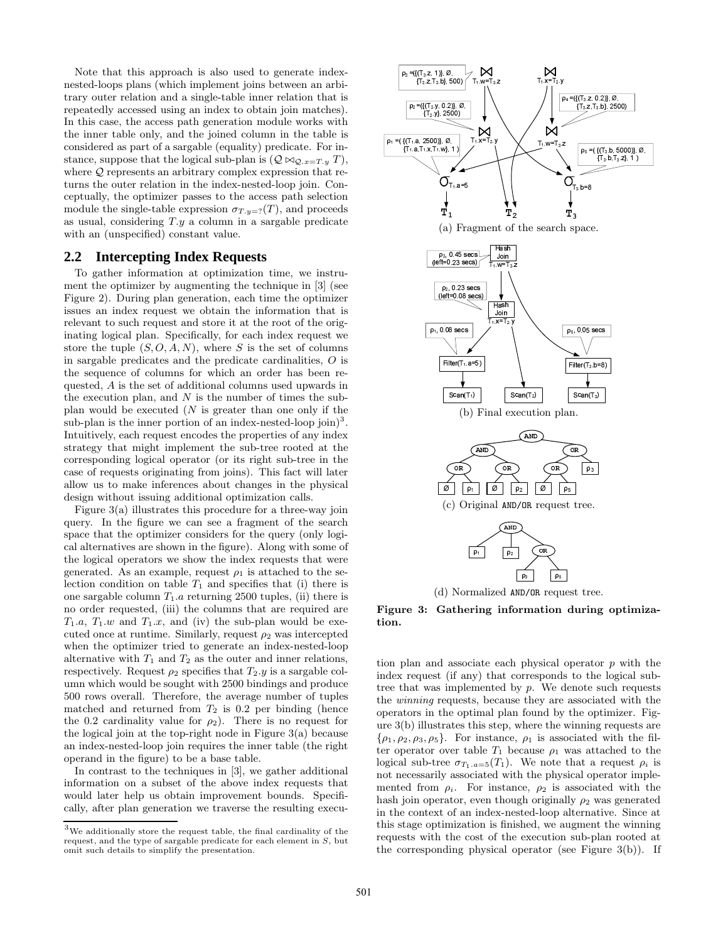Note that this approach is also used to generate indexnested-loops plans (which implement joins between an arbitrary outer relation and a single-table inner relation that is repeatedly accessed using an index to obtain join matches). In this case, the access path generation module works with the inner table only, and the joined column in the table is considered as part of a sargable (equality) predicate. For instance, suppose that the logical sub-plan is  $(Q \bowtie_{Q.x=T,y} T)$ , where  $Q$  represents an arbitrary complex expression that returns the outer relation in the index-nested-loop join. Conceptually, the optimizer passes to the access path selection module the single-table expression  $\sigma_{T,y=?}(T)$ , and proceeds as usual, considering  $T.y$  a column in a sargable predicate with an (unspecified) constant value.

#### **2.2 Intercepting Index Requests**

To gather information at optimization time, we instrument the optimizer by augmenting the technique in [3] (see Figure 2). During plan generation, each time the optimizer issues an index request we obtain the information that is relevant to such request and store it at the root of the originating logical plan. Specifically, for each index request we store the tuple  $(S, O, A, N)$ , where S is the set of columns in sargable predicates and the predicate cardinalities, O is the sequence of columns for which an order has been requested, A is the set of additional columns used upwards in the execution plan, and  $N$  is the number of times the subplan would be executed  $(N$  is greater than one only if the sub-plan is the inner portion of an index-nested-loop join)<sup>3</sup>. Intuitively, each request encodes the properties of any index strategy that might implement the sub-tree rooted at the corresponding logical operator (or its right sub-tree in the case of requests originating from joins). This fact will later allow us to make inferences about changes in the physical design without issuing additional optimization calls.

Figure 3(a) illustrates this procedure for a three-way join query. In the figure we can see a fragment of the search space that the optimizer considers for the query (only logical alternatives are shown in the figure). Along with some of the logical operators we show the index requests that were generated. As an example, request  $\rho_1$  is attached to the selection condition on table  $T_1$  and specifies that (i) there is one sargable column  $T_1.a$  returning 2500 tuples, (ii) there is no order requested, (iii) the columns that are required are  $T_1.a, T_1.w$  and  $T_1.x$ , and (iv) the sub-plan would be executed once at runtime. Similarly, request  $\rho_2$  was intercepted when the optimizer tried to generate an index-nested-loop alternative with  $T_1$  and  $T_2$  as the outer and inner relations, respectively. Request  $\rho_2$  specifies that  $T_2.y$  is a sargable column which would be sought with 2500 bindings and produce 500 rows overall. Therefore, the average number of tuples matched and returned from  $T_2$  is 0.2 per binding (hence the 0.2 cardinality value for  $\rho_2$ ). There is no request for the logical join at the top-right node in Figure 3(a) because an index-nested-loop join requires the inner table (the right operand in the figure) to be a base table.

In contrast to the techniques in [3], we gather additional information on a subset of the above index requests that would later help us obtain improvement bounds. Specifically, after plan generation we traverse the resulting execu-



(d) Normalized AND/OR request tree.

Figure 3: Gathering information during optimization.

tion plan and associate each physical operator  $p$  with the index request (if any) that corresponds to the logical subtree that was implemented by p. We denote such requests the winning requests, because they are associated with the operators in the optimal plan found by the optimizer. Figure 3(b) illustrates this step, where the winning requests are  $\{\rho_1, \rho_2, \rho_3, \rho_5\}$ . For instance,  $\rho_1$  is associated with the filter operator over table  $T_1$  because  $\rho_1$  was attached to the logical sub-tree  $\sigma_{T_1.a=5}(T_1)$ . We note that a request  $\rho_i$  is not necessarily associated with the physical operator implemented from  $\rho_i$ . For instance,  $\rho_2$  is associated with the hash join operator, even though originally  $\rho_2$  was generated in the context of an index-nested-loop alternative. Since at this stage optimization is finished, we augment the winning requests with the cost of the execution sub-plan rooted at the corresponding physical operator (see Figure  $3(b)$ ). If

 $^3\rm{We}$  additionally store the request table, the final cardinality of the request, and the type of sargable predicate for each element in S, but omit such details to simplify the presentation.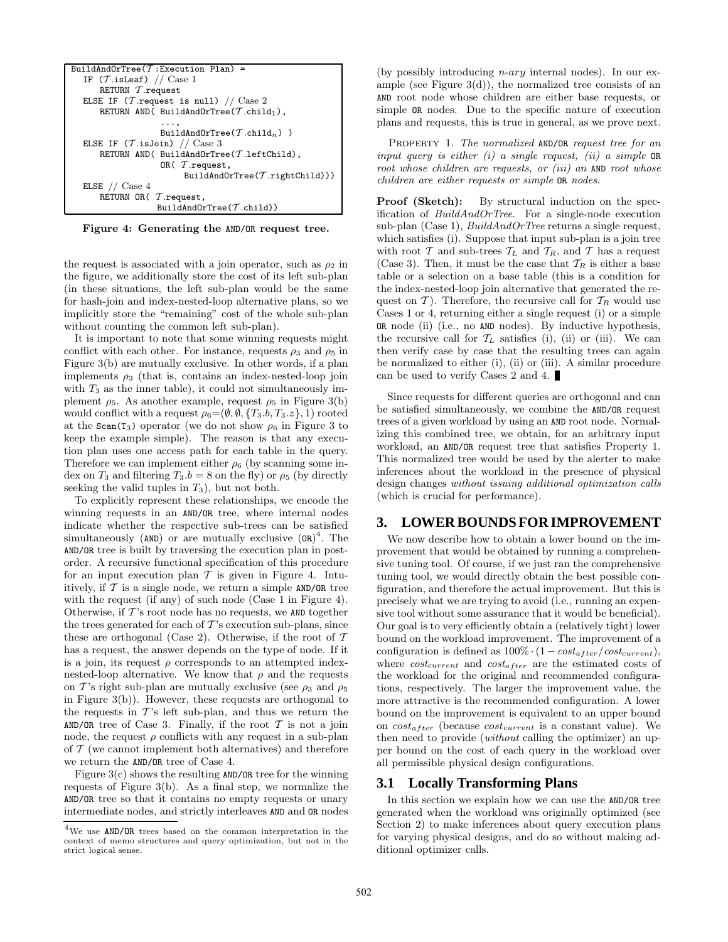| BuildAndOrTree( $T$ :Execution Plan) =                          |
|-----------------------------------------------------------------|
| IF $(\mathcal{T}.isLeaf)$ // Case 1                             |
| RETURN $\tau$ . request                                         |
| ELSE IF ( <i>T</i> . request is null) // $\text{Case 2}$        |
| RETURN AND( BuildAndOrTree( $\mathcal T$ .child <sub>1</sub> ), |
| .                                                               |
| BuildAndOrTree( $\mathcal T$ .child <sub>n</sub> ))             |
| ELSE IF $(T.isJoin)$ // Case 3                                  |
| RETURN AND( BuildAndOrTree( $\mathcal T$ .leftChild),           |
| OR( $T$ .request,                                               |
| BuildAndOrTree( $\mathcal T$ .rightChild)))                     |
| ELSE $//$ Case 4                                                |
| RETURN OR $(\mathcal{T}.\text{request},$                        |
| BuildAndOrTree $(\mathcal{T}.child)$ )                          |

Figure 4: Generating the AND/OR request tree.

the request is associated with a join operator, such as  $\rho_2$  in the figure, we additionally store the cost of its left sub-plan (in these situations, the left sub-plan would be the same for hash-join and index-nested-loop alternative plans, so we implicitly store the "remaining" cost of the whole sub-plan without counting the common left sub-plan).

It is important to note that some winning requests might conflict with each other. For instance, requests  $\rho_3$  and  $\rho_5$  in Figure 3(b) are mutually exclusive. In other words, if a plan implements  $\rho_3$  (that is, contains an index-nested-loop join with  $T_3$  as the inner table), it could not simultaneously implement  $\rho_5$ . As another example, request  $\rho_5$  in Figure 3(b) would conflict with a request  $\rho_6 = (\emptyset, \emptyset, \{T_3, b, T_3, z\}, 1)$  rooted at the  $scan(T_3)$  operator (we do not show  $\rho_6$  in Figure 3 to keep the example simple). The reason is that any execution plan uses one access path for each table in the query. Therefore we can implement either  $\rho_6$  (by scanning some index on  $T_3$  and filtering  $T_3.b = 8$  on the fly) or  $\rho_5$  (by directly seeking the valid tuples in  $T_3$ ), but not both.

To explicitly represent these relationships, we encode the winning requests in an AND/OR tree, where internal nodes indicate whether the respective sub-trees can be satisfied simultaneously ( $AND$ ) or are mutually exclusive  $(OR)^4$ . The AND/OR tree is built by traversing the execution plan in postorder. A recursive functional specification of this procedure for an input execution plan  $T$  is given in Figure 4. Intuitively, if  $T$  is a single node, we return a simple AND/OR tree with the request (if any) of such node (Case 1 in Figure 4). Otherwise, if  $T$ 's root node has no requests, we AND together the trees generated for each of  $T$ 's execution sub-plans, since these are orthogonal (Case 2). Otherwise, if the root of  $\mathcal T$ has a request, the answer depends on the type of node. If it is a join, its request  $\rho$  corresponds to an attempted indexnested-loop alternative. We know that  $\rho$  and the requests on T's right sub-plan are mutually exclusive (see  $\rho_3$  and  $\rho_5$ ) in Figure 3(b)). However, these requests are orthogonal to the requests in  $T$ 's left sub-plan, and thus we return the AND/OR tree of Case 3. Finally, if the root  $\mathcal T$  is not a join node, the request  $\rho$  conflicts with any request in a sub-plan of  $\mathcal T$  (we cannot implement both alternatives) and therefore we return the AND/OR tree of Case 4.

Figure  $3(c)$  shows the resulting AND/OR tree for the winning requests of Figure 3(b). As a final step, we normalize the AND/OR tree so that it contains no empty requests or unary intermediate nodes, and strictly interleaves AND and OR nodes

(by possibly introducing n-ary internal nodes). In our example (see Figure  $3(d)$ ), the normalized tree consists of an AND root node whose children are either base requests, or simple OR nodes. Due to the specific nature of execution plans and requests, this is true in general, as we prove next.

PROPERTY 1. The normalized AND/OR request tree for an input query is either  $(i)$  a single request,  $(ii)$  a simple OR root whose children are requests, or *(iii)* an AND root whose children are either requests or simple OR nodes.

Proof (Sketch): By structural induction on the specification of BuildAndOrTree. For a single-node execution sub-plan (Case 1),  $BuildAndOrTree$  returns a single request, which satisfies (i). Suppose that input sub-plan is a join tree with root T and sub-trees  $T_L$  and  $T_R$ , and T has a request (Case 3). Then, it must be the case that  $\mathcal{T}_R$  is either a base table or a selection on a base table (this is a condition for the index-nested-loop join alternative that generated the request on  $\mathcal{T}$ ). Therefore, the recursive call for  $\mathcal{T}_R$  would use Cases 1 or 4, returning either a single request (i) or a simple OR node (ii) (i.e., no AND nodes). By inductive hypothesis, the recursive call for  $\mathcal{T}_L$  satisfies (i), (ii) or (iii). We can then verify case by case that the resulting trees can again be normalized to either (i), (ii) or (iii). A similar procedure can be used to verify Cases 2 and 4.

Since requests for different queries are orthogonal and can be satisfied simultaneously, we combine the AND/OR request trees of a given workload by using an AND root node. Normalizing this combined tree, we obtain, for an arbitrary input workload, an AND/OR request tree that satisfies Property 1. This normalized tree would be used by the alerter to make inferences about the workload in the presence of physical design changes without issuing additional optimization calls (which is crucial for performance).

## **3. LOWER BOUNDS FOR IMPROVEMENT**

We now describe how to obtain a lower bound on the improvement that would be obtained by running a comprehensive tuning tool. Of course, if we just ran the comprehensive tuning tool, we would directly obtain the best possible configuration, and therefore the actual improvement. But this is precisely what we are trying to avoid (i.e., running an expensive tool without some assurance that it would be beneficial). Our goal is to very efficiently obtain a (relatively tight) lower bound on the workload improvement. The improvement of a configuration is defined as  $100\% \cdot (1 - cost_{after}/cost_{current}),$ where  $cost_{current}$  and  $cost_{after}$  are the estimated costs of the workload for the original and recommended configurations, respectively. The larger the improvement value, the more attractive is the recommended configuration. A lower bound on the improvement is equivalent to an upper bound on  $cost_{after}$  (because  $cost_{current}$  is a constant value). We then need to provide (without calling the optimizer) an upper bound on the cost of each query in the workload over all permissible physical design configurations.

#### **3.1 Locally Transforming Plans**

In this section we explain how we can use the AND/OR tree generated when the workload was originally optimized (see Section 2) to make inferences about query execution plans for varying physical designs, and do so without making additional optimizer calls.

<sup>4</sup>We use AND/OR trees based on the common interpretation in the context of memo structures and query optimization, but not in the strict logical sense.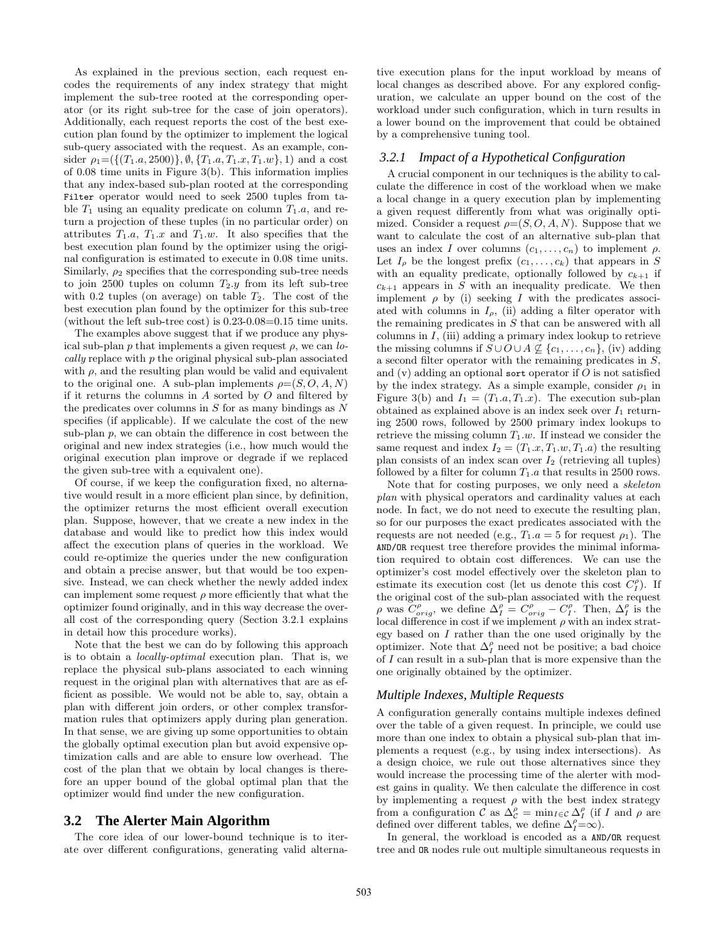As explained in the previous section, each request encodes the requirements of any index strategy that might implement the sub-tree rooted at the corresponding operator (or its right sub-tree for the case of join operators). Additionally, each request reports the cost of the best execution plan found by the optimizer to implement the logical sub-query associated with the request. As an example, consider  $\rho_1 = (\{(T_1.a, 2500)\}, \emptyset, \{T_1.a, T_1.x, T_1.w\}, 1)$  and a cost of 0.08 time units in Figure 3(b). This information implies that any index-based sub-plan rooted at the corresponding Filter operator would need to seek 2500 tuples from table  $T_1$  using an equality predicate on column  $T_1.a$ , and return a projection of these tuples (in no particular order) on attributes  $T_1.a, T_1.x$  and  $T_1.w.$  It also specifies that the best execution plan found by the optimizer using the original configuration is estimated to execute in 0.08 time units. Similarly,  $\rho_2$  specifies that the corresponding sub-tree needs to join 2500 tuples on column  $T_2.y$  from its left sub-tree with 0.2 tuples (on average) on table  $T_2$ . The cost of the best execution plan found by the optimizer for this sub-tree (without the left sub-tree cost) is 0.23-0.08=0.15 time units.

The examples above suggest that if we produce any physical sub-plan p that implements a given request  $\rho$ , we can lo- $\textit{cally}$  replace with  $p$  the original physical sub-plan associatedwith  $\rho$ , and the resulting plan would be valid and equivalent to the original one. A sub-plan implements  $\rho = (S, O, A, N)$ if it returns the columns in  $A$  sorted by  $O$  and filtered by the predicates over columns in  $S$  for as many bindings as  $N$ specifies (if applicable). If we calculate the cost of the new sub-plan  $p$ , we can obtain the difference in cost between the original and new index strategies (i.e., how much would the original execution plan improve or degrade if we replaced the given sub-tree with a equivalent one).

Of course, if we keep the configuration fixed, no alternative would result in a more efficient plan since, by definition, the optimizer returns the most efficient overall execution plan. Suppose, however, that we create a new index in the database and would like to predict how this index would affect the execution plans of queries in the workload. We could re-optimize the queries under the new configuration and obtain a precise answer, but that would be too expensive. Instead, we can check whether the newly added index can implement some request  $\rho$  more efficiently that what the optimizer found originally, and in this way decrease the overall cost of the corresponding query (Section 3.2.1 explains in detail how this procedure works).

Note that the best we can do by following this approach is to obtain a locally-optimal execution plan. That is, we replace the physical sub-plans associated to each winning request in the original plan with alternatives that are as efficient as possible. We would not be able to, say, obtain a plan with different join orders, or other complex transformation rules that optimizers apply during plan generation. In that sense, we are giving up some opportunities to obtain the globally optimal execution plan but avoid expensive optimization calls and are able to ensure low overhead. The cost of the plan that we obtain by local changes is therefore an upper bound of the global optimal plan that the optimizer would find under the new configuration.

#### **3.2 The Alerter Main Algorithm**

The core idea of our lower-bound technique is to iterate over different configurations, generating valid alternative execution plans for the input workload by means of local changes as described above. For any explored configuration, we calculate an upper bound on the cost of the workload under such configuration, which in turn results in a lower bound on the improvement that could be obtained by a comprehensive tuning tool.

#### *3.2.1 Impact of a Hypothetical Configuration*

A crucial component in our techniques is the ability to calculate the difference in cost of the workload when we make a local change in a query execution plan by implementing a given request differently from what was originally optimized. Consider a request  $\rho = (S, O, A, N)$ . Suppose that we want to calculate the cost of an alternative sub-plan that uses an index I over columns  $(c_1, \ldots, c_n)$  to implement  $\rho$ . Let  $I_{\rho}$  be the longest prefix  $(c_1, \ldots, c_k)$  that appears in S with an equality predicate, optionally followed by  $c_{k+1}$  if  $c_{k+1}$  appears in S with an inequality predicate. We then implement  $\rho$  by (i) seeking I with the predicates associated with columns in  $I_{\rho}$ , (ii) adding a filter operator with the remaining predicates in S that can be answered with all columns in  $I$ , (iii) adding a primary index lookup to retrieve the missing columns if  $S \cup O \cup A \nsubseteq \{c_1, \ldots, c_n\}$ , (iv) adding a second filter operator with the remaining predicates in S, and  $(v)$  adding an optional sort operator if O is not satisfied by the index strategy. As a simple example, consider  $\rho_1$  in Figure 3(b) and  $I_1 = (T_1.a, T_1.x)$ . The execution sub-plan obtained as explained above is an index seek over  $I_1$  returning 2500 rows, followed by 2500 primary index lookups to retrieve the missing column  $T_1.w$ . If instead we consider the same request and index  $I_2 = (T_1.x, T_1.w, T_1.a)$  the resulting plan consists of an index scan over  $I_2$  (retrieving all tuples) followed by a filter for column  $T_1.a$  that results in 2500 rows.

Note that for costing purposes, we only need a skeleton plan with physical operators and cardinality values at each node. In fact, we do not need to execute the resulting plan, so for our purposes the exact predicates associated with the requests are not needed (e.g.,  $T_1.a = 5$  for request  $\rho_1$ ). The AND/OR request tree therefore provides the minimal information required to obtain cost differences. We can use the optimizer's cost model effectively over the skeleton plan to estimate its execution cost (let us denote this cost  $C_I^{\rho}$ ). If the original cost of the sub-plan associated with the request  $\rho$  was  $C_{orig}^{\rho}$ , we define  $\Delta_I^{\rho} = C_{orig}^{\rho} - C_I^{\rho}$ . Then,  $\Delta_I^{\rho}$  is the local difference in cost if we implement  $\rho$  with an index strategy based on  $I$  rather than the one used originally by the optimizer. Note that  $\Delta_I^{\rho}$  need not be positive; a bad choice of I can result in a sub-plan that is more expensive than the one originally obtained by the optimizer.

#### *Multiple Indexes, Multiple Requests*

A configuration generally contains multiple indexes defined over the table of a given request. In principle, we could use more than one index to obtain a physical sub-plan that implements a request (e.g., by using index intersections). As a design choice, we rule out those alternatives since they would increase the processing time of the alerter with modest gains in quality. We then calculate the difference in cost by implementing a request  $\rho$  with the best index strategy from a configuration  $\mathcal C$  as  $\Delta_{\mathcal C}^{\rho} = \min_{I \in \mathcal C} \Delta_I^{\rho}$  (if I and  $\rho$  are defined over different tables, we define  $\Delta_f^{\rho} = \infty$ ).

In general, the workload is encoded as a AND/OR request tree and OR nodes rule out multiple simultaneous requests in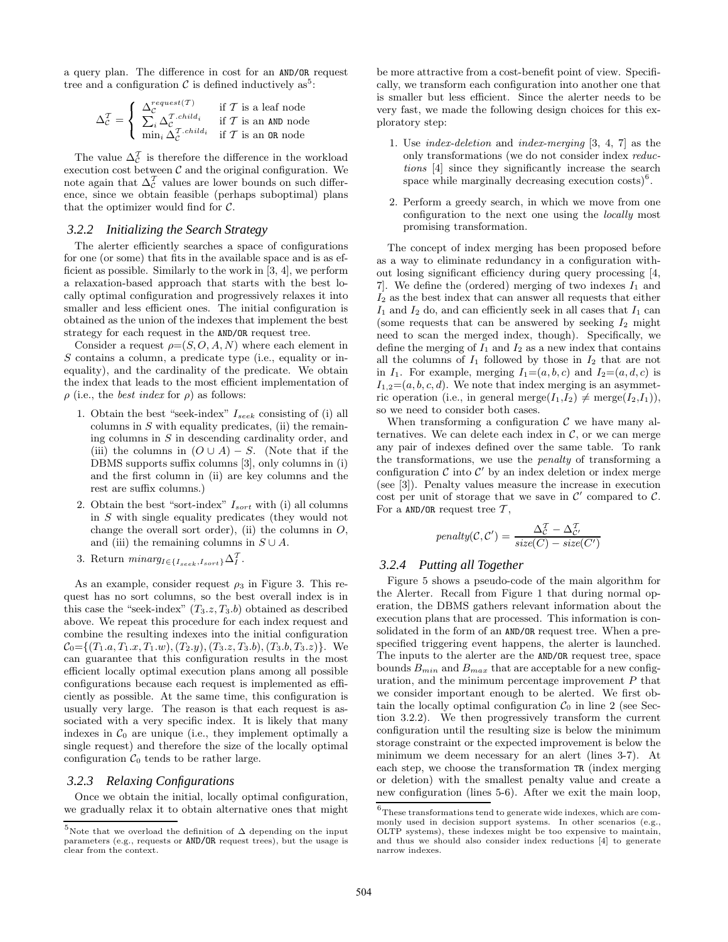a query plan. The difference in cost for an AND/OR request tree and a configuration  $\mathcal C$  is defined inductively as<sup>5</sup>:

$$
\Delta_{\mathcal{C}}^{\mathcal{T}} = \left\{ \begin{array}{ll} \Delta_{\mathcal{C}}^{request(\mathcal{T})} & \text{if } \mathcal{T} \text{ is a leaf node} \\ \sum_{i} \Delta_{\mathcal{C}}^{\mathcal{T}.child_i} & \text{if } \mathcal{T} \text{ is an AND node} \\ \min_{i} \Delta_{\mathcal{C}}^{\mathcal{T}.child_i} & \text{if } \mathcal{T} \text{ is an OR node} \end{array} \right.
$$

The value  $\Delta_{\mathcal{C}}^{\mathcal{T}}$  is therefore the difference in the workload execution cost between  $\mathcal C$  and the original configuration. We note again that  $\Delta_{\mathcal{C}}^{\mathcal{T}}$  values are lower bounds on such difference, since we obtain feasible (perhaps suboptimal) plans that the optimizer would find for  $C$ .

#### *3.2.2 Initializing the Search Strategy*

The alerter efficiently searches a space of configurations for one (or some) that fits in the available space and is as efficient as possible. Similarly to the work in [3, 4], we perform a relaxation-based approach that starts with the best locally optimal configuration and progressively relaxes it into smaller and less efficient ones. The initial configuration is obtained as the union of the indexes that implement the best strategy for each request in the AND/OR request tree.

Consider a request  $\rho = (S, O, A, N)$  where each element in S contains a column, a predicate type (i.e., equality or inequality), and the cardinality of the predicate. We obtain the index that leads to the most efficient implementation of  $\rho$  (i.e., the *best index* for  $\rho$ ) as follows:

- 1. Obtain the best "seek-index"  $I_{seek}$  consisting of (i) all columns in  $S$  with equality predicates, (ii) the remaining columns in S in descending cardinality order, and (iii) the columns in  $(O \cup A) - S$ . (Note that if the DBMS supports suffix columns [3], only columns in (i) and the first column in (ii) are key columns and the rest are suffix columns.)
- 2. Obtain the best "sort-index"  $I_{sort}$  with (i) all columns in S with single equality predicates (they would not change the overall sort order), (ii) the columns in  $O$ , and (iii) the remaining columns in  $S \cup A$ .
- 3. Return  $minarg_{I \in \{I_{seek}, I_{sort}\}} \Delta_I^{\mathcal{T}}$ .

As an example, consider request  $\rho_3$  in Figure 3. This request has no sort columns, so the best overall index is in this case the "seek-index"  $(T_3.z, T_3.b)$  obtained as described above. We repeat this procedure for each index request and combine the resulting indexes into the initial configuration  $\mathcal{C}_0 = \{(T_1.a, T_1.x, T_1.w), (T_2.y), (T_3.z, T_3.b), (T_3.b, T_3.z)\}.$  We can guarantee that this configuration results in the most efficient locally optimal execution plans among all possible configurations because each request is implemented as efficiently as possible. At the same time, this configuration is usually very large. The reason is that each request is associated with a very specific index. It is likely that many indexes in  $C_0$  are unique (i.e., they implement optimally a single request) and therefore the size of the locally optimal configuration  $C_0$  tends to be rather large.

#### *3.2.3 Relaxing Configurations*

Once we obtain the initial, locally optimal configuration, we gradually relax it to obtain alternative ones that might be more attractive from a cost-benefit point of view. Specifically, we transform each configuration into another one that is smaller but less efficient. Since the alerter needs to be very fast, we made the following design choices for this exploratory step:

- 1. Use index-deletion and index-merging [3, 4, 7] as the only transformations (we do not consider index reductions [4] since they significantly increase the search space while marginally decreasing execution  $\cosh^6$ .
- 2. Perform a greedy search, in which we move from one configuration to the next one using the locally most promising transformation.

The concept of index merging has been proposed before as a way to eliminate redundancy in a configuration without losing significant efficiency during query processing [4, 7. We define the (ordered) merging of two indexes  $I_1$  and  $I_2$  as the best index that can answer all requests that either  $I_1$  and  $I_2$  do, and can efficiently seek in all cases that  $I_1$  can (some requests that can be answered by seeking  $I_2$  might need to scan the merged index, though). Specifically, we define the merging of  $I_1$  and  $I_2$  as a new index that contains all the columns of  $I_1$  followed by those in  $I_2$  that are not in  $I_1$ . For example, merging  $I_1=(a, b, c)$  and  $I_2=(a, d, c)$  is  $I_{1,2}=(a, b, c, d)$ . We note that index merging is an asymmetric operation (i.e., in general merge $(I_1,I_2) \neq \text{merge}(I_2,I_1)$ ), so we need to consider both cases.

When transforming a configuration  $\mathcal C$  we have many alternatives. We can delete each index in  $C$ , or we can merge any pair of indexes defined over the same table. To rank the transformations, we use the penalty of transforming a configuration  $\mathcal C$  into  $\mathcal C'$  by an index deletion or index merge (see [3]). Penalty values measure the increase in execution cost per unit of storage that we save in  $\mathcal{C}'$  compared to  $\mathcal{C}$ . For a AND/OR request tree  $\mathcal{T}$ ,

$$
penalty(\mathcal{C}, \mathcal{C}') = \frac{\Delta_{\mathcal{C}}^{\mathcal{T}} - \Delta_{\mathcal{C}'}^{\mathcal{T}}}{size(C) - size(C')}
$$

#### *3.2.4 Putting all Together*

Figure 5 shows a pseudo-code of the main algorithm for the Alerter. Recall from Figure 1 that during normal operation, the DBMS gathers relevant information about the execution plans that are processed. This information is consolidated in the form of an AND/OR request tree. When a prespecified triggering event happens, the alerter is launched. The inputs to the alerter are the AND/OR request tree, space bounds  $B_{min}$  and  $B_{max}$  that are acceptable for a new configuration, and the minimum percentage improvement  $P$  that we consider important enough to be alerted. We first obtain the locally optimal configuration  $C_0$  in line 2 (see Section 3.2.2). We then progressively transform the current configuration until the resulting size is below the minimum storage constraint or the expected improvement is below the minimum we deem necessary for an alert (lines 3-7). At each step, we choose the transformation TR (index merging or deletion) with the smallest penalty value and create a new configuration (lines 5-6). After we exit the main loop,

 $^5$ Note that we overload the definition of  $\Delta$  depending on the input parameters (e.g., requests or AND/OR request trees), but the usage is clear from the context.

 $^6 \rm{These \, transformations \, tend \, to \, generate \, wide \, indexes, \, which \, are \, commutators.}$ monly used in decision support systems. In other scenarios (e.g., OLTP systems), these indexes might be too expensive to maintain, and thus we should also consider index reductions [4] to generate narrow indexes.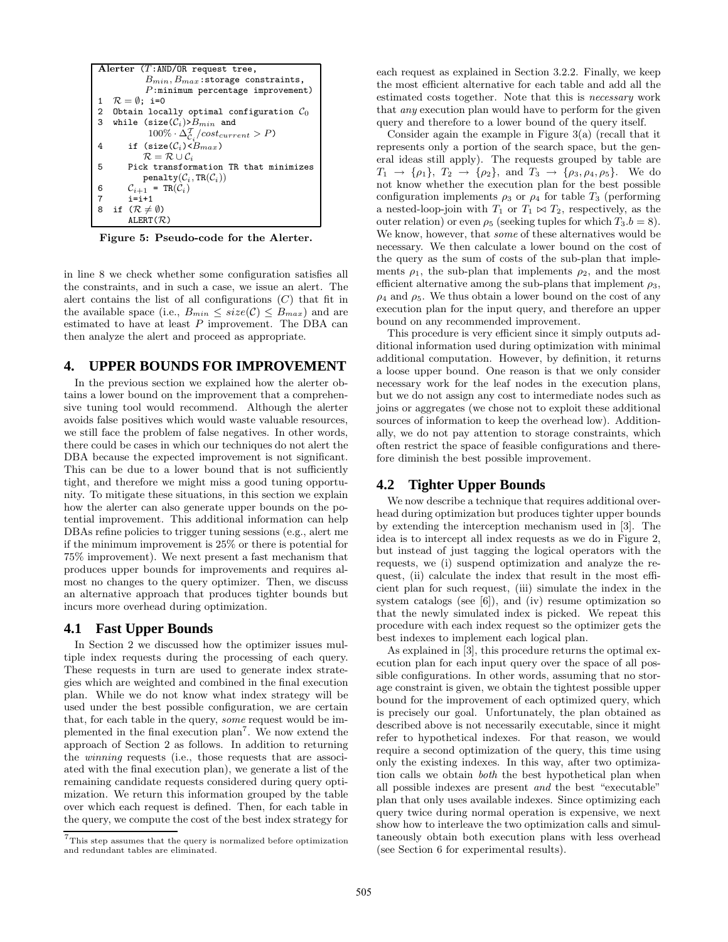

Figure 5: Pseudo-code for the Alerter.

in line 8 we check whether some configuration satisfies all the constraints, and in such a case, we issue an alert. The alert contains the list of all configurations  $(C)$  that fit in the available space (i.e.,  $B_{min} \leq size(\mathcal{C}) \leq B_{max}$ ) and are estimated to have at least  $P$  improvement. The DBA can then analyze the alert and proceed as appropriate.

## **4. UPPER BOUNDS FOR IMPROVEMENT**

In the previous section we explained how the alerter obtains a lower bound on the improvement that a comprehensive tuning tool would recommend. Although the alerter avoids false positives which would waste valuable resources, we still face the problem of false negatives. In other words, there could be cases in which our techniques do not alert the DBA because the expected improvement is not significant. This can be due to a lower bound that is not sufficiently tight, and therefore we might miss a good tuning opportunity. To mitigate these situations, in this section we explain how the alerter can also generate upper bounds on the potential improvement. This additional information can help DBAs refine policies to trigger tuning sessions (e.g., alert me if the minimum improvement is 25% or there is potential for 75% improvement). We next present a fast mechanism that produces upper bounds for improvements and requires almost no changes to the query optimizer. Then, we discuss an alternative approach that produces tighter bounds but incurs more overhead during optimization.

#### **4.1 Fast Upper Bounds**

In Section 2 we discussed how the optimizer issues multiple index requests during the processing of each query. These requests in turn are used to generate index strategies which are weighted and combined in the final execution plan. While we do not know what index strategy will be used under the best possible configuration, we are certain that, for each table in the query, some request would be implemented in the final execution plan<sup>7</sup>. We now extend the approach of Section 2 as follows. In addition to returning the winning requests (i.e., those requests that are associated with the final execution plan), we generate a list of the remaining candidate requests considered during query optimization. We return this information grouped by the table over which each request is defined. Then, for each table in the query, we compute the cost of the best index strategy for

each request as explained in Section 3.2.2. Finally, we keep the most efficient alternative for each table and add all the estimated costs together. Note that this is necessary work that any execution plan would have to perform for the given query and therefore to a lower bound of the query itself.

Consider again the example in Figure 3(a) (recall that it represents only a portion of the search space, but the general ideas still apply). The requests grouped by table are  $T_1 \to \{\rho_1\}, T_2 \to \{\rho_2\}, \text{ and } T_3 \to \{\rho_3, \rho_4, \rho_5\}.$  We do not know whether the execution plan for the best possible configuration implements  $\rho_3$  or  $\rho_4$  for table  $T_3$  (performing a nested-loop-join with  $T_1$  or  $T_1 \bowtie T_2$ , respectively, as the outer relation) or even  $\rho_5$  (seeking tuples for which  $T_3.b = 8$ ). We know, however, that some of these alternatives would be necessary. We then calculate a lower bound on the cost of the query as the sum of costs of the sub-plan that implements  $\rho_1$ , the sub-plan that implements  $\rho_2$ , and the most efficient alternative among the sub-plans that implement  $\rho_3$ ,  $\rho_4$  and  $\rho_5$ . We thus obtain a lower bound on the cost of any execution plan for the input query, and therefore an upper bound on any recommended improvement.

This procedure is very efficient since it simply outputs additional information used during optimization with minimal additional computation. However, by definition, it returns a loose upper bound. One reason is that we only consider necessary work for the leaf nodes in the execution plans, but we do not assign any cost to intermediate nodes such as joins or aggregates (we chose not to exploit these additional sources of information to keep the overhead low). Additionally, we do not pay attention to storage constraints, which often restrict the space of feasible configurations and therefore diminish the best possible improvement.

## **4.2 Tighter Upper Bounds**

We now describe a technique that requires additional overhead during optimization but produces tighter upper bounds by extending the interception mechanism used in [3]. The idea is to intercept all index requests as we do in Figure 2, but instead of just tagging the logical operators with the requests, we (i) suspend optimization and analyze the request, (ii) calculate the index that result in the most efficient plan for such request, (iii) simulate the index in the system catalogs (see [6]), and (iv) resume optimization so that the newly simulated index is picked. We repeat this procedure with each index request so the optimizer gets the best indexes to implement each logical plan.

As explained in [3], this procedure returns the optimal execution plan for each input query over the space of all possible configurations. In other words, assuming that no storage constraint is given, we obtain the tightest possible upper bound for the improvement of each optimized query, which is precisely our goal. Unfortunately, the plan obtained as described above is not necessarily executable, since it might refer to hypothetical indexes. For that reason, we would require a second optimization of the query, this time using only the existing indexes. In this way, after two optimization calls we obtain both the best hypothetical plan when all possible indexes are present and the best "executable" plan that only uses available indexes. Since optimizing each query twice during normal operation is expensive, we next show how to interleave the two optimization calls and simultaneously obtain both execution plans with less overhead (see Section 6 for experimental results).

 ${\rm ^7This}$  step assumes that the query is normalized before optimization and redundant tables are eliminated.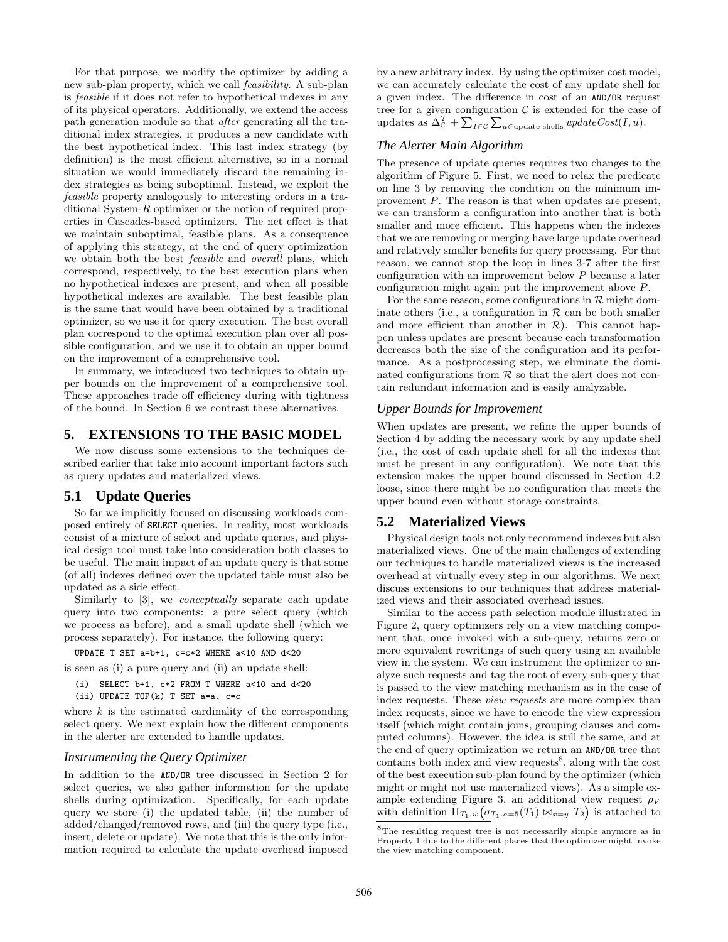For that purpose, we modify the optimizer by adding a new sub-plan property, which we call feasibility. A sub-plan is feasible if it does not refer to hypothetical indexes in any of its physical operators. Additionally, we extend the access path generation module so that after generating all the traditional index strategies, it produces a new candidate with the best hypothetical index. This last index strategy (by definition) is the most efficient alternative, so in a normal situation we would immediately discard the remaining index strategies as being suboptimal. Instead, we exploit the feasible property analogously to interesting orders in a traditional System-R optimizer or the notion of required properties in Cascades-based optimizers. The net effect is that we maintain suboptimal, feasible plans. As a consequence of applying this strategy, at the end of query optimization we obtain both the best feasible and overall plans, which correspond, respectively, to the best execution plans when no hypothetical indexes are present, and when all possible hypothetical indexes are available. The best feasible plan is the same that would have been obtained by a traditional optimizer, so we use it for query execution. The best overall plan correspond to the optimal execution plan over all possible configuration, and we use it to obtain an upper bound on the improvement of a comprehensive tool.

In summary, we introduced two techniques to obtain upper bounds on the improvement of a comprehensive tool. These approaches trade off efficiency during with tightness of the bound. In Section 6 we contrast these alternatives.

## **5. EXTENSIONS TO THE BASIC MODEL**

We now discuss some extensions to the techniques described earlier that take into account important factors such as query updates and materialized views.

## **5.1 Update Queries**

So far we implicitly focused on discussing workloads composed entirely of SELECT queries. In reality, most workloads consist of a mixture of select and update queries, and physical design tool must take into consideration both classes to be useful. The main impact of an update query is that some (of all) indexes defined over the updated table must also be updated as a side effect.

Similarly to [3], we conceptually separate each update query into two components: a pure select query (which we process as before), and a small update shell (which we process separately). For instance, the following query:

UPDATE T SET a=b+1, c=c\*2 WHERE a<10 AND d<20

is seen as (i) a pure query and (ii) an update shell:

- (i) SELECT  $b+1$ ,  $c*2$  FROM T WHERE  $a<10$  and  $d<20$
- (ii) UPDATE TOP(k) T SET a=a, c=c

where  $k$  is the estimated cardinality of the corresponding select query. We next explain how the different components in the alerter are extended to handle updates.

#### *Instrumenting the Query Optimizer*

In addition to the AND/OR tree discussed in Section 2 for select queries, we also gather information for the update shells during optimization. Specifically, for each update query we store (i) the updated table, (ii) the number of added/changed/removed rows, and (iii) the query type (i.e., insert, delete or update). We note that this is the only information required to calculate the update overhead imposed

by a new arbitrary index. By using the optimizer cost model, we can accurately calculate the cost of any update shell for a given index. The difference in cost of an AND/OR request tree for a given configuration  $\mathcal C$  is extended for the case of updates as  $\Delta_{\mathcal{C}}^{\mathcal{T}} + \sum_{I \in \mathcal{C}} \sum_{u \in \text{update shells}} updateCost(I, u).$ 

# *The Alerter Main Algorithm*

The presence of update queries requires two changes to the algorithm of Figure 5. First, we need to relax the predicate on line 3 by removing the condition on the minimum improvement P. The reason is that when updates are present, we can transform a configuration into another that is both smaller and more efficient. This happens when the indexes that we are removing or merging have large update overhead and relatively smaller benefits for query processing. For that reason, we cannot stop the loop in lines 3-7 after the first configuration with an improvement below P because a later configuration might again put the improvement above P.

For the same reason, some configurations in  $\mathcal R$  might dominate others (i.e., a configuration in  $R$  can be both smaller and more efficient than another in  $\mathcal{R}$ ). This cannot happen unless updates are present because each transformation decreases both the size of the configuration and its performance. As a postprocessing step, we eliminate the dominated configurations from  $R$  so that the alert does not contain redundant information and is easily analyzable.

#### *Upper Bounds for Improvement*

When updates are present, we refine the upper bounds of Section 4 by adding the necessary work by any update shell (i.e., the cost of each update shell for all the indexes that must be present in any configuration). We note that this extension makes the upper bound discussed in Section 4.2 loose, since there might be no configuration that meets the upper bound even without storage constraints.

#### **5.2 Materialized Views**

Physical design tools not only recommend indexes but also materialized views. One of the main challenges of extending our techniques to handle materialized views is the increased overhead at virtually every step in our algorithms. We next discuss extensions to our techniques that address materialized views and their associated overhead issues.

Similar to the access path selection module illustrated in Figure 2, query optimizers rely on a view matching component that, once invoked with a sub-query, returns zero or more equivalent rewritings of such query using an available view in the system. We can instrument the optimizer to analyze such requests and tag the root of every sub-query that is passed to the view matching mechanism as in the case of index requests. These view requests are more complex than index requests, since we have to encode the view expression itself (which might contain joins, grouping clauses and computed columns). However, the idea is still the same, and at the end of query optimization we return an AND/OR tree that contains both index and view requests<sup>8</sup>, along with the cost of the best execution sub-plan found by the optimizer (which might or might not use materialized views). As a simple example extending Figure 3, an additional view request  $\rho_V$ with definition  $\Pi_{T_1,w}(\sigma_{T_1,a=5}(T_1) \bowtie_{x=y} T_2)$  is attached to

 ${}^{8}{\rm The}$  resulting request tree is not necessarily simple anymore as in Property 1 due to the different places that the optimizer might invoke the view matching component.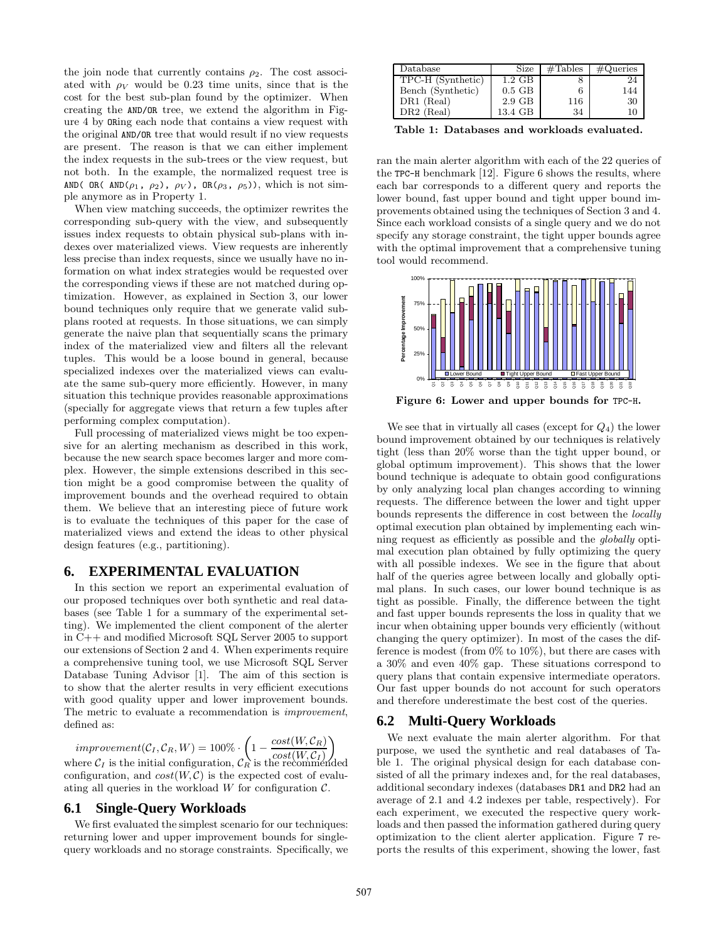the join node that currently contains  $\rho_2$ . The cost associated with  $\rho_V$  would be 0.23 time units, since that is the cost for the best sub-plan found by the optimizer. When creating the AND/OR tree, we extend the algorithm in Figure 4 by ORing each node that contains a view request with the original AND/OR tree that would result if no view requests are present. The reason is that we can either implement the index requests in the sub-trees or the view request, but not both. In the example, the normalized request tree is AND( OR( AND( $\rho_1$ ,  $\rho_2$ ),  $\rho_V$ ), OR( $\rho_3$ ,  $\rho_5$ )), which is not simple anymore as in Property 1.

When view matching succeeds, the optimizer rewrites the corresponding sub-query with the view, and subsequently issues index requests to obtain physical sub-plans with indexes over materialized views. View requests are inherently less precise than index requests, since we usually have no information on what index strategies would be requested over the corresponding views if these are not matched during optimization. However, as explained in Section 3, our lower bound techniques only require that we generate valid subplans rooted at requests. In those situations, we can simply generate the naive plan that sequentially scans the primary index of the materialized view and filters all the relevant tuples. This would be a loose bound in general, because specialized indexes over the materialized views can evaluate the same sub-query more efficiently. However, in many situation this technique provides reasonable approximations (specially for aggregate views that return a few tuples after performing complex computation).

Full processing of materialized views might be too expensive for an alerting mechanism as described in this work, because the new search space becomes larger and more complex. However, the simple extensions described in this section might be a good compromise between the quality of improvement bounds and the overhead required to obtain them. We believe that an interesting piece of future work is to evaluate the techniques of this paper for the case of materialized views and extend the ideas to other physical design features (e.g., partitioning).

#### **6. EXPERIMENTAL EVALUATION**

In this section we report an experimental evaluation of our proposed techniques over both synthetic and real databases (see Table 1 for a summary of the experimental setting). We implemented the client component of the alerter in C++ and modified Microsoft SQL Server 2005 to support our extensions of Section 2 and 4. When experiments require a comprehensive tuning tool, we use Microsoft SQL Server Database Tuning Advisor [1]. The aim of this section is to show that the alerter results in very efficient executions with good quality upper and lower improvement bounds. The metric to evaluate a recommendation is improvement, defined as:

 $improvement(C_I, \mathcal{C}_R, W) = 100\% \cdot \left(1 - \frac{cost(W, \mathcal{C}_R)}{s + t(W, \mathcal{C}_R)}\right)$ where  $C_I$  is the initial configuration,  $C_R$  is the recommended ble configuration, and  $cost(W, C)$  is the expected cost of evaluating all queries in the workload  $W$  for configuration  $\mathcal{C}$ .

## **6.1 Single-Query Workloads**

We first evaluated the simplest scenario for our techniques: returning lower and upper improvement bounds for singlequery workloads and no storage constraints. Specifically, we

| Database          | Size     | $\#\text{Tables}$ | $\#\text{Queries}$ |
|-------------------|----------|-------------------|--------------------|
| TPC-H (Synthetic) | 1.2 GB   |                   |                    |
| Bench (Synthetic) | $0.5$ GB |                   | 144                |
| DR1 (Real)        | $2.9$ GB | 116               | 30                 |
| $DR2$ (Real)      | 13.4 GB  | 34                |                    |

Table 1: Databases and workloads evaluated.

ran the main alerter algorithm with each of the 22 queries of the TPC-H benchmark [12]. Figure 6 shows the results, where each bar corresponds to a different query and reports the lower bound, fast upper bound and tight upper bound improvements obtained using the techniques of Section 3 and 4. Since each workload consists of a single query and we do not specify any storage constraint, the tight upper bounds agree with the optimal improvement that a comprehensive tuning tool would recommend.



We see that in virtually all cases (except for  $Q_4$ ) the lower bound improvement obtained by our techniques is relatively tight (less than 20% worse than the tight upper bound, or global optimum improvement). This shows that the lower bound technique is adequate to obtain good configurations by only analyzing local plan changes according to winning requests. The difference between the lower and tight upper bounds represents the difference in cost between the locally optimal execution plan obtained by implementing each winning request as efficiently as possible and the globally optimal execution plan obtained by fully optimizing the query with all possible indexes. We see in the figure that about half of the queries agree between locally and globally optimal plans. In such cases, our lower bound technique is as tight as possible. Finally, the difference between the tight and fast upper bounds represents the loss in quality that we incur when obtaining upper bounds very efficiently (without changing the query optimizer). In most of the cases the difference is modest (from  $0\%$  to  $10\%$ ), but there are cases with a 30% and even 40% gap. These situations correspond to query plans that contain expensive intermediate operators. Our fast upper bounds do not account for such operators and therefore underestimate the best cost of the queries.

#### **6.2 Multi-Query Workloads**

We next evaluate the main alerter algorithm. For that purpose, we used the synthetic and real databases of Table 1. The original physical design for each database consisted of all the primary indexes and, for the real databases, additional secondary indexes (databases DR1 and DR2 had an average of 2.1 and 4.2 indexes per table, respectively). For each experiment, we executed the respective query workloads and then passed the information gathered during query optimization to the client alerter application. Figure 7 reports the results of this experiment, showing the lower, fast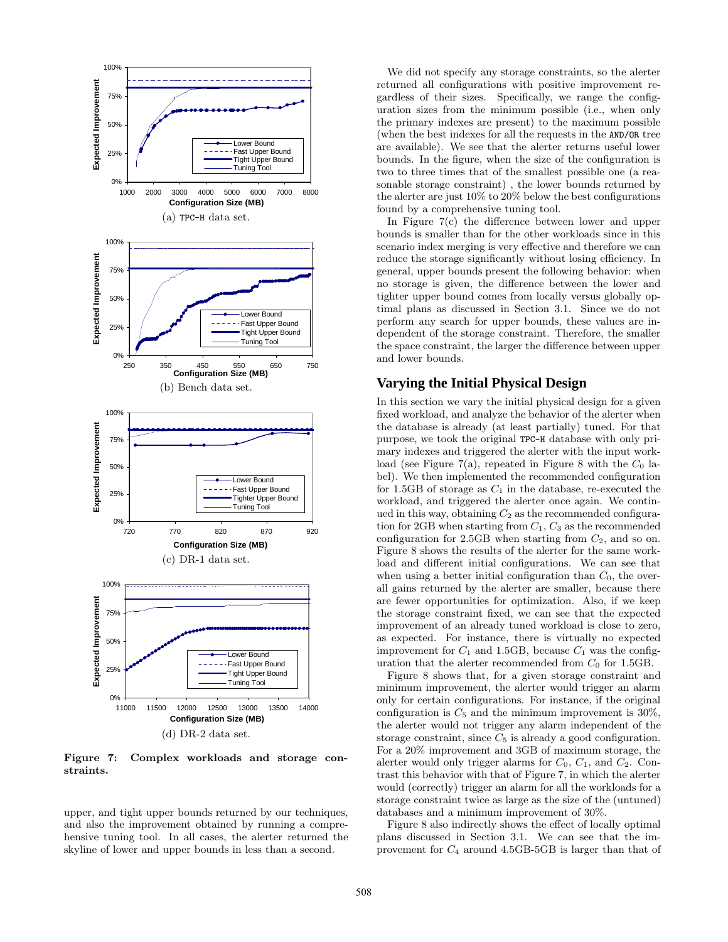

Figure 7: Complex workloads and storage constraints.

upper, and tight upper bounds returned by our techniques, and also the improvement obtained by running a comprehensive tuning tool. In all cases, the alerter returned the skyline of lower and upper bounds in less than a second.

We did not specify any storage constraints, so the alerter returned all configurations with positive improvement regardless of their sizes. Specifically, we range the configuration sizes from the minimum possible (i.e., when only the primary indexes are present) to the maximum possible (when the best indexes for all the requests in the AND/OR tree are available). We see that the alerter returns useful lower bounds. In the figure, when the size of the configuration is two to three times that of the smallest possible one (a reasonable storage constraint) , the lower bounds returned by the alerter are just 10% to 20% below the best configurations found by a comprehensive tuning tool.

In Figure 7(c) the difference between lower and upper bounds is smaller than for the other workloads since in this scenario index merging is very effective and therefore we can reduce the storage significantly without losing efficiency. In general, upper bounds present the following behavior: when no storage is given, the difference between the lower and tighter upper bound comes from locally versus globally optimal plans as discussed in Section 3.1. Since we do not perform any search for upper bounds, these values are independent of the storage constraint. Therefore, the smaller the space constraint, the larger the difference between upper and lower bounds.

## **Varying the Initial Physical Design**

In this section we vary the initial physical design for a given fixed workload, and analyze the behavior of the alerter when the database is already (at least partially) tuned. For that purpose, we took the original TPC-H database with only primary indexes and triggered the alerter with the input workload (see Figure 7(a), repeated in Figure 8 with the  $C_0$  label). We then implemented the recommended configuration for 1.5GB of storage as  $C_1$  in the database, re-executed the workload, and triggered the alerter once again. We continued in this way, obtaining  $C_2$  as the recommended configuration for 2GB when starting from  $C_1$ ,  $C_3$  as the recommended configuration for 2.5GB when starting from  $C_2$ , and so on. Figure 8 shows the results of the alerter for the same workload and different initial configurations. We can see that when using a better initial configuration than  $C_0$ , the overall gains returned by the alerter are smaller, because there are fewer opportunities for optimization. Also, if we keep the storage constraint fixed, we can see that the expected improvement of an already tuned workload is close to zero, as expected. For instance, there is virtually no expected improvement for  $C_1$  and 1.5GB, because  $C_1$  was the configuration that the alerter recommended from  $C_0$  for 1.5GB.

Figure 8 shows that, for a given storage constraint and minimum improvement, the alerter would trigger an alarm only for certain configurations. For instance, if the original configuration is  $C_5$  and the minimum improvement is 30%, the alerter would not trigger any alarm independent of the storage constraint, since  $C_5$  is already a good configuration. For a 20% improvement and 3GB of maximum storage, the alerter would only trigger alarms for  $C_0$ ,  $C_1$ , and  $C_2$ . Contrast this behavior with that of Figure 7, in which the alerter would (correctly) trigger an alarm for all the workloads for a storage constraint twice as large as the size of the (untuned) databases and a minimum improvement of 30%.

Figure 8 also indirectly shows the effect of locally optimal plans discussed in Section 3.1. We can see that the improvement for  $C_4$  around 4.5GB-5GB is larger than that of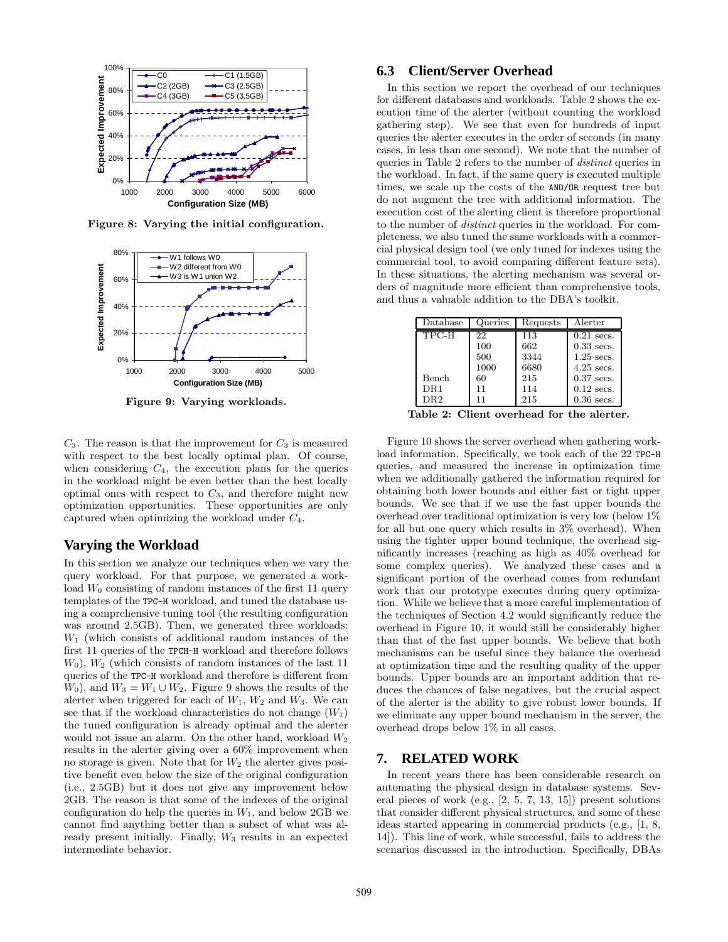

Figure 8: Varying the initial configuration.



Figure 9: Varying workloads.

 $C_3$ . The reason is that the improvement for  $C_3$  is measured with respect to the best locally optimal plan. Of course, when considering  $C_4$ , the execution plans for the queries in the workload might be even better than the best locally optimal ones with respect to  $C_3$ , and therefore might new optimization opportunities. These opportunities are only captured when optimizing the workload under  $C_4$ .

## **Varying the Workload**

In this section we analyze our techniques when we vary the query workload. For that purpose, we generated a workload  $W_0$  consisting of random instances of the first 11 query templates of the TPC-H workload, and tuned the database using a comprehensive tuning tool (the resulting configuration was around 2.5GB). Then, we generated three workloads:  $W_1$  (which consists of additional random instances of the first 11 queries of the TPCH-H workload and therefore follows  $W_0$ ),  $W_2$  (which consists of random instances of the last 11 queries of the TPC-H workload and therefore is different from  $W_0$ , and  $W_3 = W_1 \cup W_2$ . Figure 9 shows the results of the alerter when triggered for each of  $W_1$ ,  $W_2$  and  $W_3$ . We can see that if the workload characteristics do not change  $(W_1)$ the tuned configuration is already optimal and the alerter would not issue an alarm. On the other hand, workload  $W_2$ results in the alerter giving over a 60% improvement when no storage is given. Note that for  $W_2$  the alerter gives positive benefit even below the size of the original configuration (i.e., 2.5GB) but it does not give any improvement below 2GB. The reason is that some of the indexes of the original configuration do help the queries in  $W_1$ , and below 2GB we cannot find anything better than a subset of what was already present initially. Finally, W<sup>3</sup> results in an expected intermediate behavior.

# **6.3 Client/Server Overhead**

In this section we report the overhead of our techniques for different databases and workloads. Table 2 shows the execution time of the alerter (without counting the workload gathering step). We see that even for hundreds of input queries the alerter executes in the order of seconds (in many cases, in less than one second). We note that the number of queries in Table 2 refers to the number of distinct queries in the workload. In fact, if the same query is executed multiple times, we scale up the costs of the AND/OR request tree but do not augment the tree with additional information. The execution cost of the alerting client is therefore proportional to the number of distinct queries in the workload. For completeness, we also tuned the same workloads with a commercial physical design tool (we only tuned for indexes using the commercial tool, to avoid comparing different feature sets). In these situations, the alerting mechanism was several orders of magnitude more efficient than comprehensive tools, and thus a valuable addition to the DBA's toolkit.

| $\mathbf{Database}$ | Queries | Requests | Alerter      |
|---------------------|---------|----------|--------------|
| TPC-H               | 22      | 113      | $0.21$ secs. |
|                     | 100     | 662      | $0.33$ secs. |
|                     | 500     | 3344     | $1.25$ secs. |
|                     | 1000    | 6680     | $4.25$ secs. |
| Bench               | 60      | 215      | $0.37$ secs. |
| $\rm DR1$           | 11      | 114      | $0.12$ secs. |
| DR2                 | 11      | 215      | $0.36$ secs. |

Table 2: Client overhead for the alerter.

Figure 10 shows the server overhead when gathering workload information. Specifically, we took each of the 22 TPC-H queries, and measured the increase in optimization time when we additionally gathered the information required for obtaining both lower bounds and either fast or tight upper bounds. We see that if we use the fast upper bounds the overhead over traditional optimization is very low (below 1% for all but one query which results in 3% overhead). When using the tighter upper bound technique, the overhead significantly increases (reaching as high as 40% overhead for some complex queries). We analyzed these cases and a significant portion of the overhead comes from redundant work that our prototype executes during query optimization. While we believe that a more careful implementation of the techniques of Section 4.2 would significantly reduce the overhead in Figure 10, it would still be considerably higher than that of the fast upper bounds. We believe that both mechanisms can be useful since they balance the overhead at optimization time and the resulting quality of the upper bounds. Upper bounds are an important addition that reduces the chances of false negatives, but the crucial aspect of the alerter is the ability to give robust lower bounds. If we eliminate any upper bound mechanism in the server, the overhead drops below 1% in all cases.

## **7. RELATED WORK**

In recent years there has been considerable research on automating the physical design in database systems. Several pieces of work (e.g., [2, 5, 7, 13, 15]) present solutions that consider different physical structures, and some of these ideas started appearing in commercial products (e.g., [1, 8, 14]). This line of work, while successful, fails to address the scenarios discussed in the introduction. Specifically, DBAs